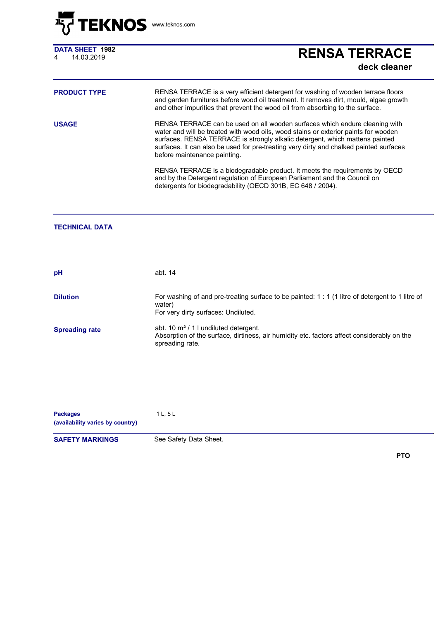

**DATA SHEET 1982**

## DATA SHEET 1982<br>4 14.03.2019 **RENSA TERRACE deck cleaner**

| <b>PRODUCT TYPE</b> | RENSA TERRACE is a very efficient detergent for washing of wooden terrace floors<br>and garden furnitures before wood oil treatment. It removes dirt, mould, algae growth<br>and other impurities that prevent the wood oil from absorbing to the surface.                                                                                                                   |
|---------------------|------------------------------------------------------------------------------------------------------------------------------------------------------------------------------------------------------------------------------------------------------------------------------------------------------------------------------------------------------------------------------|
| <b>USAGE</b>        | RENSA TERRACE can be used on all wooden surfaces which endure cleaning with<br>water and will be treated with wood oils, wood stains or exterior paints for wooden<br>surfaces. RENSA TERRACE is strongly alkalic detergent, which mattens painted<br>surfaces. It can also be used for pre-treating very dirty and chalked painted surfaces<br>before maintenance painting. |
|                     | RENSA TERRACE is a biodegradable product. It meets the requirements by OECD<br>and by the Detergent regulation of European Parliament and the Council on<br>detergents for biodegradability (OECD 301B, EC 648 / 2004).                                                                                                                                                      |

## **TECHNICAL DATA**

| pH                    | abt. 14                                                                                                                                                |
|-----------------------|--------------------------------------------------------------------------------------------------------------------------------------------------------|
| <b>Dilution</b>       | For washing of and pre-treating surface to be painted: 1 : 1 (1 litre of detergent to 1 litre of<br>water)<br>For very dirty surfaces: Undiluted.      |
| <b>Spreading rate</b> | abt. 10 $m^2/11$ undiluted detergent.<br>Absorption of the surface, dirtiness, air humidity etc. factors affect considerably on the<br>spreading rate. |
|                       |                                                                                                                                                        |

Packages 1 L, 5 L **(availability varies by country)**

**SAFETY MARKINGS** See Safety Data Sheet.

**PTO**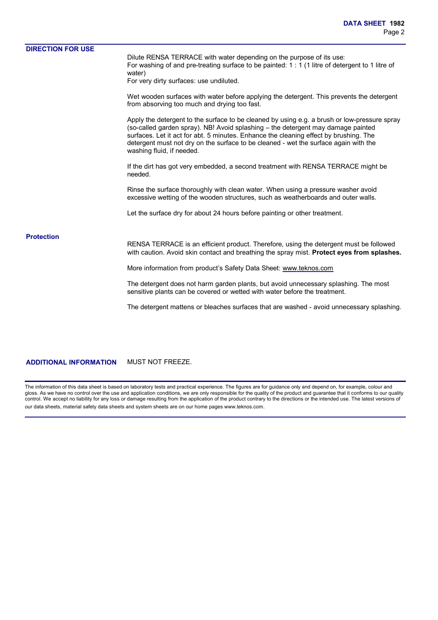| <b>DIRECTION FOR USE</b> |                                                                                                                                                                                                                                                                                                                                                                                                |
|--------------------------|------------------------------------------------------------------------------------------------------------------------------------------------------------------------------------------------------------------------------------------------------------------------------------------------------------------------------------------------------------------------------------------------|
|                          | Dilute RENSA TERRACE with water depending on the purpose of its use:<br>For washing of and pre-treating surface to be painted: 1 : 1 (1 litre of detergent to 1 litre of<br>water)                                                                                                                                                                                                             |
|                          | For very dirty surfaces: use undiluted.                                                                                                                                                                                                                                                                                                                                                        |
|                          | Wet wooden surfaces with water before applying the detergent. This prevents the detergent<br>from absorving too much and drying too fast.                                                                                                                                                                                                                                                      |
|                          | Apply the detergent to the surface to be cleaned by using e.g. a brush or low-pressure spray<br>(so-called garden spray). NB! Avoid splashing - the detergent may damage painted<br>surfaces. Let it act for abt. 5 minutes. Enhance the cleaning effect by brushing. The<br>detergent must not dry on the surface to be cleaned - wet the surface again with the<br>washing fluid, if needed. |
|                          | If the dirt has got very embedded, a second treatment with RENSA TERRACE might be<br>needed.                                                                                                                                                                                                                                                                                                   |
|                          | Rinse the surface thoroughly with clean water. When using a pressure washer avoid<br>excessive wetting of the wooden structures, such as weatherboards and outer walls.                                                                                                                                                                                                                        |
|                          | Let the surface dry for about 24 hours before painting or other treatment.                                                                                                                                                                                                                                                                                                                     |
| <b>Protection</b>        |                                                                                                                                                                                                                                                                                                                                                                                                |
|                          | RENSA TERRACE is an efficient product. Therefore, using the detergent must be followed<br>with caution. Avoid skin contact and breathing the spray mist. Protect eyes from splashes.                                                                                                                                                                                                           |
|                          | More information from product's Safety Data Sheet: www.teknos.com                                                                                                                                                                                                                                                                                                                              |
|                          | The detergent does not harm garden plants, but avoid unnecessary splashing. The most<br>sensitive plants can be covered or wetted with water before the treatment.                                                                                                                                                                                                                             |
|                          | The detergent mattens or bleaches surfaces that are washed - avoid unnecessary splashing.                                                                                                                                                                                                                                                                                                      |
|                          |                                                                                                                                                                                                                                                                                                                                                                                                |
|                          |                                                                                                                                                                                                                                                                                                                                                                                                |

**ADDITIONAL INFORMATION** MUST NOT FREEZE.

The information of this data sheet is based on laboratory tests and practical experience. The figures are for guidance only and depend on, for example, colour and gloss. As we have no control over the use and application conditions, we are only responsible for the quality of the product and guarantee that it conforms to our quality control. We accept no liability for any loss or damage resulting from the application of the product contrary to the directions or the intended use. The latest versions of our data sheets, material safety data sheets and system sheets are on our home pages www.teknos.com.